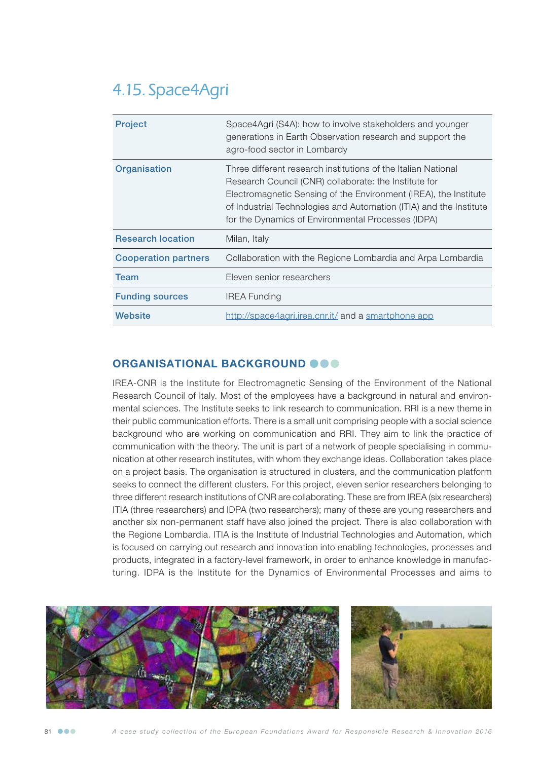# 4.15. Space4Agri

| <b>Project</b>              | Space4Agri (S4A): how to involve stakeholders and younger<br>generations in Earth Observation research and support the<br>agro-food sector in Lombardy                                                                                                                                                                 |
|-----------------------------|------------------------------------------------------------------------------------------------------------------------------------------------------------------------------------------------------------------------------------------------------------------------------------------------------------------------|
| Organisation                | Three different research institutions of the Italian National<br>Research Council (CNR) collaborate: the Institute for<br>Electromagnetic Sensing of the Environment (IREA), the Institute<br>of Industrial Technologies and Automation (ITIA) and the Institute<br>for the Dynamics of Environmental Processes (IDPA) |
| <b>Research location</b>    | Milan, Italy                                                                                                                                                                                                                                                                                                           |
| <b>Cooperation partners</b> | Collaboration with the Regione Lombardia and Arpa Lombardia                                                                                                                                                                                                                                                            |
| Team                        | Eleven senior researchers                                                                                                                                                                                                                                                                                              |
| <b>Funding sources</b>      | <b>IREA Funding</b>                                                                                                                                                                                                                                                                                                    |
| Website                     | http://space4agri.irea.cnr.it/ and a smartphone app                                                                                                                                                                                                                                                                    |

## ORGANISATIONAL BACKGROUND OOO

IREA-CNR is the Institute for Electromagnetic Sensing of the Environment of the National Research Council of Italy. Most of the employees have a background in natural and environmental sciences. The Institute seeks to link research to communication. RRI is a new theme in their public communication efforts. There is a small unit comprising people with a social science background who are working on communication and RRI. They aim to link the practice of communication with the theory. The unit is part of a network of people specialising in communication at other research institutes, with whom they exchange ideas. Collaboration takes place on a project basis. The organisation is structured in clusters, and the communication platform seeks to connect the different clusters. For this project, eleven senior researchers belonging to three different research institutions of CNR are collaborating. These are from IREA (six researchers) ITIA (three researchers) and IDPA (two researchers); many of these are young researchers and another six non-permanent staff have also joined the project. There is also collaboration with the Regione Lombardia. ITIA is the Institute of Industrial Technologies and Automation, which is focused on carrying out research and innovation into enabling technologies, processes and products, integrated in a factory-level framework, in order to enhance knowledge in manufacturing. IDPA is the Institute for the Dynamics of Environmental Processes and aims to

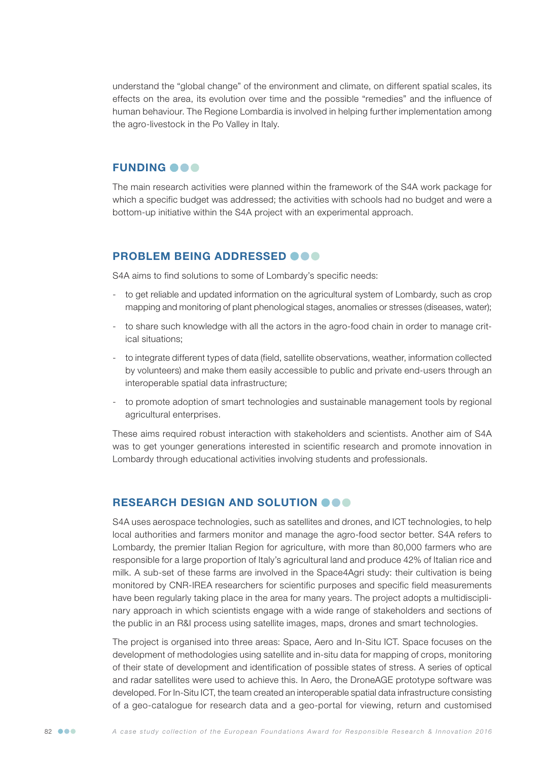understand the "global change" of the environment and climate, on different spatial scales, its effects on the area, its evolution over time and the possible "remedies" and the influence of human behaviour. The Regione Lombardia is involved in helping further implementation among the agro-livestock in the Po Valley in Italy.

#### **FUNDING @@@**

The main research activities were planned within the framework of the S4A work package for which a specific budget was addressed; the activities with schools had no budget and were a bottom-up initiative within the S4A project with an experimental approach.

#### PROBLEM BEING ADDRESSED **@@@**

S4A aims to find solutions to some of Lombardy's specific needs:

- to get reliable and updated information on the agricultural system of Lombardy, such as crop mapping and monitoring of plant phenological stages, anomalies or stresses (diseases, water);
- to share such knowledge with all the actors in the agro-food chain in order to manage critical situations;
- to integrate different types of data (field, satellite observations, weather, information collected by volunteers) and make them easily accessible to public and private end-users through an interoperable spatial data infrastructure;
- to promote adoption of smart technologies and sustainable management tools by regional agricultural enterprises.

These aims required robust interaction with stakeholders and scientists. Another aim of S4A was to get younger generations interested in scientific research and promote innovation in Lombardy through educational activities involving students and professionals.

#### RESEARCH DESIGN AND SOLUTION OOO

S4A uses aerospace technologies, such as satellites and drones, and ICT technologies, to help local authorities and farmers monitor and manage the agro-food sector better. S4A refers to Lombardy, the premier Italian Region for agriculture, with more than 80,000 farmers who are responsible for a large proportion of Italy's agricultural land and produce 42% of Italian rice and milk. A sub-set of these farms are involved in the Space4Agri study: their cultivation is being monitored by CNR-IREA researchers for scientific purposes and specific field measurements have been regularly taking place in the area for many years. The project adopts a multidisciplinary approach in which scientists engage with a wide range of stakeholders and sections of the public in an R&I process using satellite images, maps, drones and smart technologies.

The project is organised into three areas: Space, Aero and In-Situ ICT. Space focuses on the development of methodologies using satellite and in-situ data for mapping of crops, monitoring of their state of development and identification of possible states of stress. A series of optical and radar satellites were used to achieve this. In Aero, the DroneAGE prototype software was developed. For In-Situ ICT, the team created an interoperable spatial data infrastructure consisting of a geo-catalogue for research data and a geo-portal for viewing, return and customised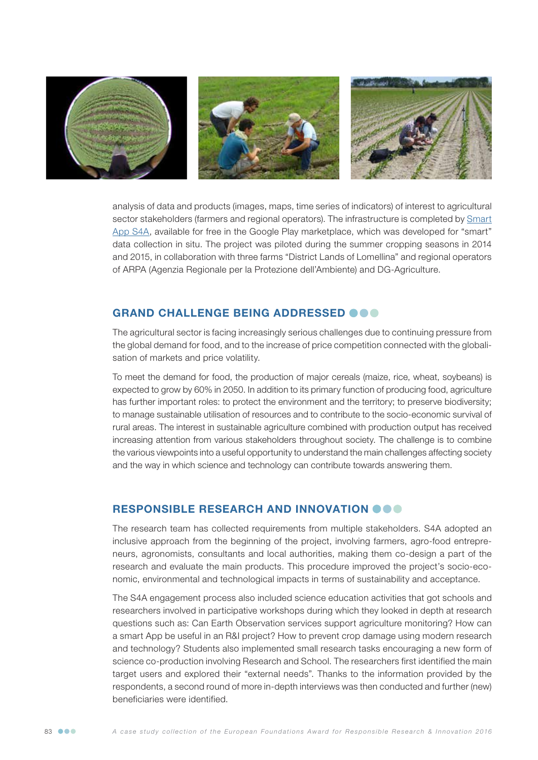

analysis of data and products (images, maps, time series of indicators) of interest to agricultural sector stakeholders (farmers and regional operators). The infrastructure is completed by [Smart](https://play.google.com/store/apps/details?id=cnr.space4agri.app&hl=it)) [App S4A](https://play.google.com/store/apps/details?id=cnr.space4agri.app&hl=it)), available for free in the Google Play marketplace, which was developed for "smart" data collection in situ. The project was piloted during the summer cropping seasons in 2014 and 2015, in collaboration with three farms "District Lands of Lomellina" and regional operators of ARPA (Agenzia Regionale per la Protezione dell'Ambiente) and DG-Agriculture.

### GRAND CHALLENGE BEING ADDRESSED @@@

The agricultural sector is facing increasingly serious challenges due to continuing pressure from the global demand for food, and to the increase of price competition connected with the globalisation of markets and price volatility.

To meet the demand for food, the production of major cereals (maize, rice, wheat, soybeans) is expected to grow by 60% in 2050. In addition to its primary function of producing food, agriculture has further important roles: to protect the environment and the territory; to preserve biodiversity; to manage sustainable utilisation of resources and to contribute to the socio-economic survival of rural areas. The interest in sustainable agriculture combined with production output has received increasing attention from various stakeholders throughout society. The challenge is to combine the various viewpoints into a useful opportunity to understand the main challenges affecting society and the way in which science and technology can contribute towards answering them.

#### RESPONSIBLE RESEARCH AND INNOVATION  $\bullet \bullet \bullet$

The research team has collected requirements from multiple stakeholders. S4A adopted an inclusive approach from the beginning of the project, involving farmers, agro-food entrepreneurs, agronomists, consultants and local authorities, making them co-design a part of the research and evaluate the main products. This procedure improved the project's socio-economic, environmental and technological impacts in terms of sustainability and acceptance.

The S4A engagement process also included science education activities that got schools and researchers involved in participative workshops during which they looked in depth at research questions such as: Can Earth Observation services support agriculture monitoring? How can a smart App be useful in an R&I project? How to prevent crop damage using modern research and technology? Students also implemented small research tasks encouraging a new form of science co-production involving Research and School. The researchers first identified the main target users and explored their "external needs". Thanks to the information provided by the respondents, a second round of more in-depth interviews was then conducted and further (new) beneficiaries were identified.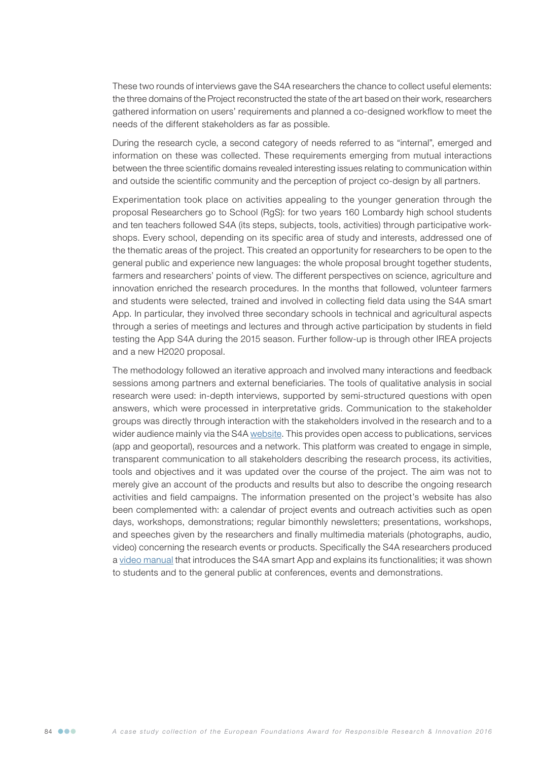These two rounds of interviews gave the S4A researchers the chance to collect useful elements: the three domains of the Project reconstructed the state of the art based on their work, researchers gathered information on users' requirements and planned a co-designed workflow to meet the needs of the different stakeholders as far as possible.

During the research cycle, a second category of needs referred to as "internal", emerged and information on these was collected. These requirements emerging from mutual interactions between the three scientific domains revealed interesting issues relating to communication within and outside the scientific community and the perception of project co-design by all partners.

Experimentation took place on activities appealing to the younger generation through the proposal Researchers go to School (RgS): for two years 160 Lombardy high school students and ten teachers followed S4A (its steps, subjects, tools, activities) through participative workshops. Every school, depending on its specific area of study and interests, addressed one of the thematic areas of the project. This created an opportunity for researchers to be open to the general public and experience new languages: the whole proposal brought together students, farmers and researchers' points of view. The different perspectives on science, agriculture and innovation enriched the research procedures. In the months that followed, volunteer farmers and students were selected, trained and involved in collecting field data using the S4A smart App. In particular, they involved three secondary schools in technical and agricultural aspects through a series of meetings and lectures and through active participation by students in field testing the App S4A during the 2015 season. Further follow-up is through other IREA projects and a new H2020 proposal.

The methodology followed an iterative approach and involved many interactions and feedback sessions among partners and external beneficiaries. The tools of qualitative analysis in social research were used: in-depth interviews, supported by semi-structured questions with open answers, which were processed in interpretative grids. Communication to the stakeholder groups was directly through interaction with the stakeholders involved in the research and to a wider audience mainly via the S4A [website.](http://space4agri.irea.cnr.it/it) This provides open access to publications, services (app and geoportal), resources and a network. This platform was created to engage in simple, transparent communication to all stakeholders describing the research process, its activities, tools and objectives and it was updated over the course of the project. The aim was not to merely give an account of the products and results but also to describe the ongoing research activities and field campaigns. The information presented on the project's website has also been complemented with: a calendar of project events and outreach activities such as open days, workshops, demonstrations; regular bimonthly newsletters; presentations, workshops, and speeches given by the researchers and finally multimedia materials (photographs, audio, video) concerning the research events or products. Specifically the S4A researchers produced a [video manual](https://www.youtube.com/watch?v=M3GYIsQAUWc&feature=youtu.be) that introduces the S4A smart App and explains its functionalities; it was shown to students and to the general public at conferences, events and demonstrations.